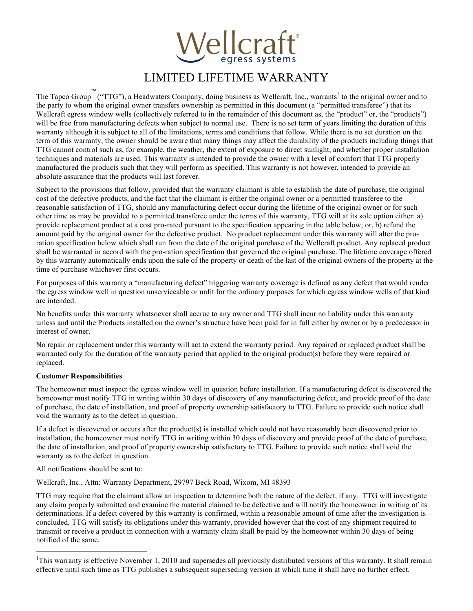

## LIMITED LIFETIME WARRANTY

The Tapco Group  $\overline{N}^M$  ("TTG"), a Headwaters Company, doing business as Wellcraft, Inc., warrants<sup>1</sup> to the original owner and to the party to whom the original owner transfers ownership as permitted in this document (a "permitted transferee") that its Wellcraft egress window wells (collectively referred to in the remainder of this document as, the "product" or, the "products") will be free from manufacturing defects when subject to normal use. There is no set term of years limiting the duration of this warranty although it is subject to all of the limitations, terms and conditions that follow. While there is no set duration on the term of this warranty, the owner should be aware that many things may affect the durability of the products including things that TTG cannot control such as, for example, the weather, the extent of exposure to direct sunlight, and whether proper installation techniques and materials are used. This warranty is intended to provide the owner with a level of comfort that TTG properly manufactured the products such that they will perform as specified. This warranty is not however, intended to provide an absolute assurance that the products will last forever.

Subject to the provisions that follow, provided that the warranty claimant is able to establish the date of purchase, the original cost of the defective products, and the fact that the claimant is either the original owner or a permitted transferee to the reasonable satisfaction of TTG, should any manufacturing defect occur during the lifetime of the original owner or for such other time as may be provided to a permitted transferee under the terms of this warranty, TTG will at its sole option either: a) provide replacement product at a cost pro-rated pursuant to the specification appearing in the table below; or, b) refund the amount paid by the original owner for the defective product. No product replacement under this warranty will alter the proration specification below which shall run from the date of the original purchase of the Wellcraft product. Any replaced product shall be warranted in accord with the pro-ration specification that governed the original purchase. The lifetime coverage offered by this warranty automatically ends upon the sale of the property or death of the last of the original owners of the property at the time of purchase whichever first occurs.

For purposes of this warranty a "manufacturing defect" triggering warranty coverage is defined as any defect that would render the egress window well in question unserviceable or unfit for the ordinary purposes for which egress window wells of that kind are intended.

No benefits under this warranty whatsoever shall accrue to any owner and TTG shall incur no liability under this warranty unless and until the Products installed on the owner's structure have been paid for in full either by owner or by a predecessor in interest of owner.

No repair or replacement under this warranty will act to extend the warranty period. Any repaired or replaced product shall be warranted only for the duration of the warranty period that applied to the original product(s) before they were repaired or replaced.

## **Customer Responsibilities**

The homeowner must inspect the egress window well in question before installation. If a manufacturing defect is discovered the homeowner must notify TTG in writing within 30 days of discovery of any manufacturing defect, and provide proof of the date of purchase, the date of installation, and proof of property ownership satisfactory to TTG. Failure to provide such notice shall void the warranty as to the defect in question.

If a defect is discovered or occurs after the product(s) is installed which could not have reasonably been discovered prior to installation, the homeowner must notify TTG in writing within 30 days of discovery and provide proof of the date of purchase, the date of installation, and proof of property ownership satisfactory to TTG. Failure to provide such notice shall void the warranty as to the defect in question.

All notifications should be sent to:

Wellcraft, Inc., Attn: Warranty Department, 29797 Beck Road, Wixom, MI 48393

TTG may require that the claimant allow an inspection to determine both the nature of the defect, if any. TTG will investigate any claim properly submitted and examine the material claimed to be defective and will notify the homeowner in writing of its determinations. If a defect covered by this warranty is confirmed, within a reasonable amount of time after the investigation is concluded, TTG will satisfy its obligations under this warranty, provided however that the cost of any shipment required to transmit or receive a product in connection with a warranty claim shall be paid by the homeowner within 30 days of being notified of the same.

<sup>&</sup>lt;sup>1</sup>This warranty is effective November 1, 2010 and supersedes all previously distributed versions of this warranty. It shall remain effective until such time as TTG publishes a subsequent superseding version at which time it shall have no further effect.